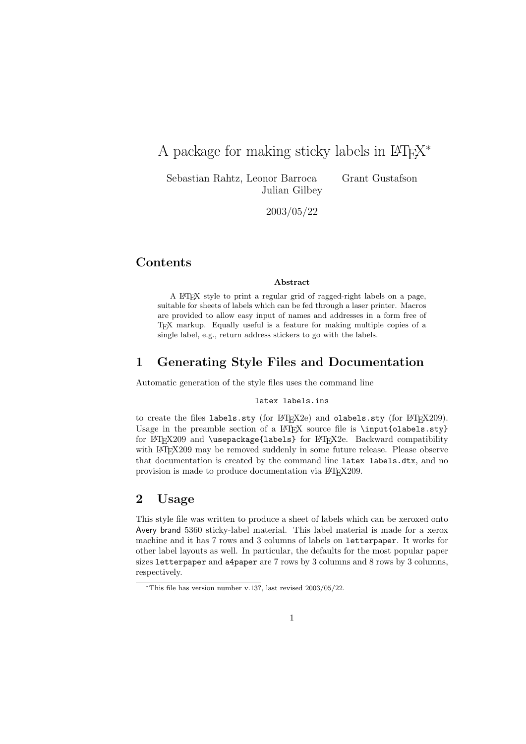# A package for making sticky labels in  $\mathbb{F}\mathrm{F}\mathrm{F}\mathrm{X}^*$

Sebastian Rahtz, Leonor Barroca Grant Gustafson Julian Gilbey

2003/05/22

# **Contents**

#### Abstract

A LATEX style to print a regular grid of ragged-right labels on a page, suitable for sheets of labels which can be fed through a laser printer. Macros are provided to allow easy input of names and addresses in a form free of TEX markup. Equally useful is a feature for making multiple copies of a single label, e.g., return address stickers to go with the labels.

# 1 Generating Style Files and Documentation

Automatic generation of the style files uses the command line

### latex labels.ins

to create the files labels.sty (for LAT<sub>EX2e</sub>) and olabels.sty (for LAT<sub>EX209</sub>). Usage in the preamble section of a LATEX source file is  $\infty$  input{olabels.sty} for LATEX209 and \usepackage{labels} for LATEX2e. Backward compatibility with LAT<sub>EX</sub>209 may be removed suddenly in some future release. Please observe that documentation is created by the command line latex labels.dtx, and no provision is made to produce documentation via LAT<sub>E</sub>X209.

# 2 Usage

This style file was written to produce a sheet of labels which can be xeroxed onto Avery brand 5360 sticky-label material. This label material is made for a xerox machine and it has 7 rows and 3 columns of labels on letterpaper. It works for other label layouts as well. In particular, the defaults for the most popular paper sizes letterpaper and a4paper are 7 rows by 3 columns and 8 rows by 3 columns, respectively.

<sup>\*</sup>This file has version number v.13?, last revised  $2003/05/22$ .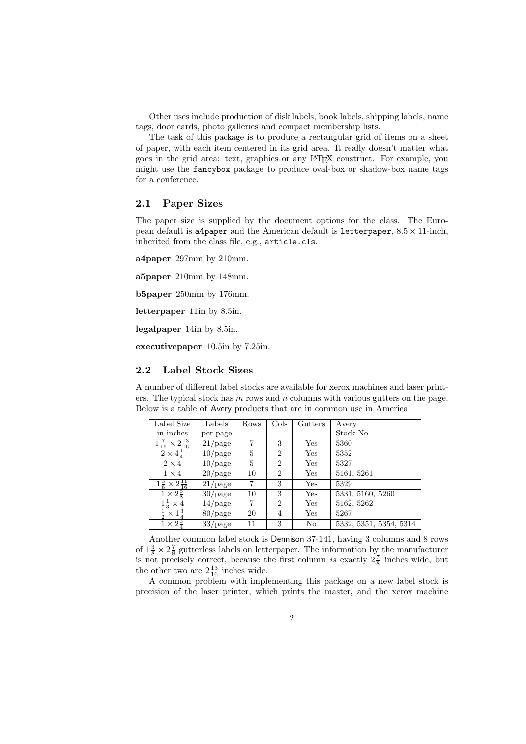Other uses include production of disk labels, book labels, shipping labels, name tags, door cards, photo galleries and compact membership lists.

The task of this package is to produce a rectangular grid of items on a sheet of paper, with each item centered in its grid area. It really doesn't matter what goes in the grid area: text, graphics or any LATEX construct. For example, you might use the fancybox package to produce oval-box or shadow-box name tags for a conference.

### 2.1 Paper Sizes

The paper size is supplied by the document options for the class. The European default is a4paper and the American default is letterpaper,  $8.5 \times 11$ -inch, inherited from the class file, e.g., article.cls.

a4paper 297mm by 210mm.

a5paper 210mm by 148mm.

b5paper 250mm by 176mm.

letterpaper 11in by 8.5in.

legalpaper 14in by 8.5in.

executivepaper 10.5in by 7.25in.

### 2.2 Label Stock Sizes

A number of different label stocks are available for xerox machines and laser printers. The typical stock has  $m$  rows and  $n$  columns with various gutters on the page. Below is a table of Avery products that are in common use in America.

| Label Size                                   | Labels                | Rows | $\mathrm{Cols}$ | Gutters | Avery                  |
|----------------------------------------------|-----------------------|------|-----------------|---------|------------------------|
| in inches                                    | per page              |      |                 |         | Stock No               |
| $1\frac{7}{16} \times 2\frac{13}{16}$        | $21$ /page            | 7    | 3               | Yes     | 5360                   |
| $2 \times 4\frac{1}{4}$                      | $10$ /page            | 5    | $\overline{2}$  | Yes     | 5352                   |
| $2 \times 4$                                 | $\overline{10}$ /page | 5    | $\overline{2}$  | Yes     | 5327                   |
| $1 \times 4$                                 | $20$ /page            | 10   | $\overline{2}$  | Yes     | 5161, 5261             |
| $1\frac{3}{8} \times 2\frac{11}{16}$         | $21$ /page            | 7    | 3               | Yes     | 5329                   |
| $1 \times 2\frac{5}{8}$                      | $30$ /page            | 10   | 3               | Yes     | 5331, 5160, 5260       |
| $1\frac{1}{3} \times 4$                      | $14$ /page            | 7    | $\overline{2}$  | Yes     | 5162, 5262             |
| $\frac{1}{2} \times \overline{1\frac{3}{4}}$ | $80$ /page            | 20   | 4               | Yes     | 5267                   |
| $\frac{1}{1} \times 2\frac{3}{4}$            | $33$ /page            | 11   | 3               | No      | 5332, 5351, 5354, 5314 |

Another common label stock is Dennison 37-141, having 3 columns and 8 rows of  $1\frac{3}{8} \times 2\frac{7}{8}$  gutterless labels on letterpaper. The information by the manufacturer is not precisely correct, because the first column is exactly  $2\frac{7}{8}$  inches wide, but the other two are  $2\frac{13}{16}$  inches wide.

A common problem with implementing this package on a new label stock is precision of the laser printer, which prints the master, and the xerox machine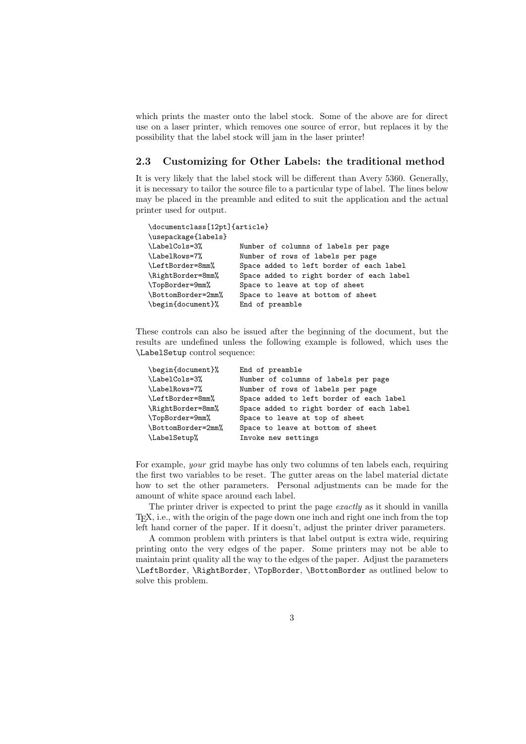which prints the master onto the label stock. Some of the above are for direct use on a laser printer, which removes one source of error, but replaces it by the possibility that the label stock will jam in the laser printer!

### 2.3 Customizing for Other Labels: the traditional method

It is very likely that the label stock will be different than Avery 5360. Generally, it is necessary to tailor the source file to a particular type of label. The lines below may be placed in the preamble and edited to suit the application and the actual printer used for output.

| \documentclass[12pt]{article} |                                           |
|-------------------------------|-------------------------------------------|
| \usepackage{labels}           |                                           |
| \LabelCols=3%                 | Number of columns of labels per page      |
| \LabelRows=7%                 | Number of rows of labels per page         |
| \LeftBorder=8mm%              | Space added to left border of each label  |
| \RightBorder=8mm%             | Space added to right border of each label |
| \TopBorder=9mm%               | Space to leave at top of sheet            |
| \BottomBorder=2mm%            | Space to leave at bottom of sheet         |
| \begin{document}%             | End of preamble                           |

These controls can also be issued after the beginning of the document, but the results are undefined unless the following example is followed, which uses the \LabelSetup control sequence:

| \begin{document}%  | End of preamble                           |
|--------------------|-------------------------------------------|
| \LabelCols=3%      | Number of columns of labels per page      |
| \LabelRows=7%      | Number of rows of labels per page         |
| \LeftBorder=8mm%   | Space added to left border of each label  |
| \RightBorder=8mm%  | Space added to right border of each label |
| \TopBorder=9mm%    | Space to leave at top of sheet            |
| \BottomBorder=2mm% | Space to leave at bottom of sheet         |
| \LabelSetup%       | Invoke new settings                       |

For example, your grid maybe has only two columns of ten labels each, requiring the first two variables to be reset. The gutter areas on the label material dictate how to set the other parameters. Personal adjustments can be made for the amount of white space around each label.

The printer driver is expected to print the page exactly as it should in vanilla TEX, i.e., with the origin of the page down one inch and right one inch from the top left hand corner of the paper. If it doesn't, adjust the printer driver parameters.

A common problem with printers is that label output is extra wide, requiring printing onto the very edges of the paper. Some printers may not be able to maintain print quality all the way to the edges of the paper. Adjust the parameters \LeftBorder, \RightBorder, \TopBorder, \BottomBorder as outlined below to solve this problem.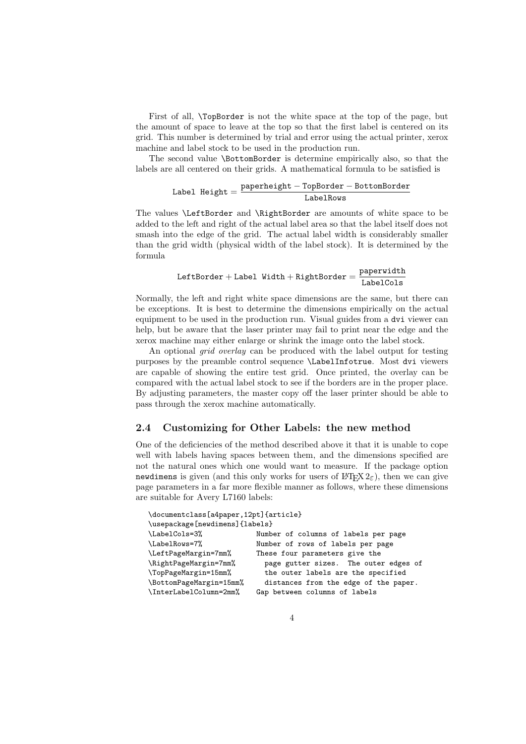First of all, \TopBorder is not the white space at the top of the page, but the amount of space to leave at the top so that the first label is centered on its grid. This number is determined by trial and error using the actual printer, xerox machine and label stock to be used in the production run.

The second value \BottomBorder is determine empirically also, so that the labels are all centered on their grids. A mathematical formula to be satisfied is

$$
\text{Label Height} = \frac{\text{paperheight} - \text{TopBorder} - \text{BottomBorder}}{\text{LabelRows}}
$$

The values \LeftBorder and \RightBorder are amounts of white space to be added to the left and right of the actual label area so that the label itself does not smash into the edge of the grid. The actual label width is considerably smaller than the grid width (physical width of the label stock). It is determined by the formula

$$
\texttt{LeftBorder} + \texttt{Label Width} + \texttt{RightBorder} = \frac{\texttt{paperwidth}}{\texttt{LabelCols}}
$$

Normally, the left and right white space dimensions are the same, but there can be exceptions. It is best to determine the dimensions empirically on the actual equipment to be used in the production run. Visual guides from a dvi viewer can help, but be aware that the laser printer may fail to print near the edge and the xerox machine may either enlarge or shrink the image onto the label stock.

An optional *grid overlay* can be produced with the label output for testing purposes by the preamble control sequence \LabelInfotrue. Most dvi viewers are capable of showing the entire test grid. Once printed, the overlay can be compared with the actual label stock to see if the borders are in the proper place. By adjusting parameters, the master copy off the laser printer should be able to pass through the xerox machine automatically.

### 2.4 Customizing for Other Labels: the new method

One of the deficiencies of the method described above it that it is unable to cope well with labels having spaces between them, and the dimensions specified are not the natural ones which one would want to measure. If the package option newdimens is given (and this only works for users of  $L^2\Gamma_p X 2_{\epsilon}$ ), then we can give page parameters in a far more flexible manner as follows, where these dimensions are suitable for Avery L7160 labels:

| \documentclass[a4paper,12pt]{article} |                                       |  |  |
|---------------------------------------|---------------------------------------|--|--|
| \usepackage[newdimens]{labels}        |                                       |  |  |
| \LabelCols=3%                         | Number of columns of labels per page  |  |  |
| \LabelRows=7%                         | Number of rows of labels per page     |  |  |
| \LeftPageMargin=7mm%                  | These four parameters give the        |  |  |
| \RightPageMargin=7mm%                 | page gutter sizes. The outer edges of |  |  |
| \TopPageMargin=15mm%                  | the outer labels are the specified    |  |  |
| \BottomPageMargin=15mm%               | distances from the edge of the paper. |  |  |
| \InterLabelColumn=2mm%                | Gap between columns of labels         |  |  |
|                                       |                                       |  |  |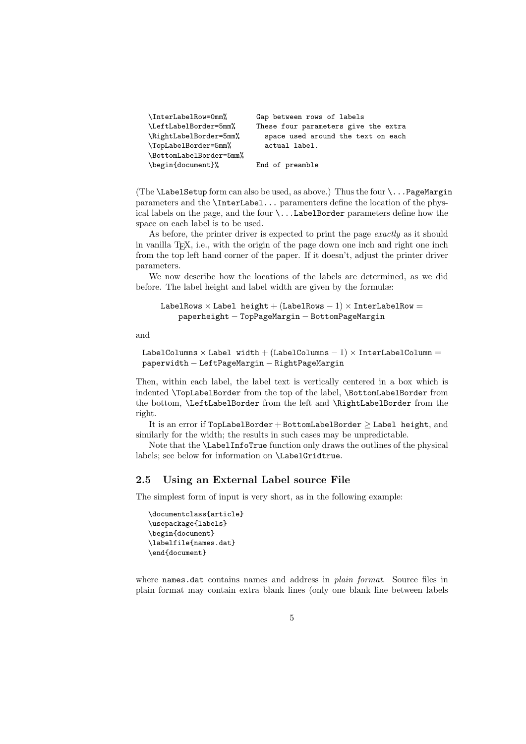| \InterLabelRow=0mm%     | Gap between rows of labels           |
|-------------------------|--------------------------------------|
| \LeftLabelBorder=5mm%   | These four parameters give the extra |
| \RightLabelBorder=5mm%  | space used around the text on each   |
| \TopLabelBorder=5mm%    | actual label.                        |
| \BottomLabelBorder=5mm% |                                      |
| \begin{document}%       | End of preamble                      |

(The **\LabelSetup** form can also be used, as above.) Thus the four  $\ldots$  PageMargin parameters and the \InterLabel... paramenters define the location of the physical labels on the page, and the four  $\ldots$  LabelBorder parameters define how the space on each label is to be used.

As before, the printer driver is expected to print the page exactly as it should in vanilla TEX, i.e., with the origin of the page down one inch and right one inch from the top left hand corner of the paper. If it doesn't, adjust the printer driver parameters.

We now describe how the locations of the labels are determined, as we did before. The label height and label width are given by the formulæ:

```
LabelRows \times Label height + (LabelRows - 1) \times InterLabelRow =
    paperheight − TopPageMargin − BottomPageMargin
```
and

```
LabelColumns \times Label width + (LabelColumns - 1) \times InterLabelColumn =
paperwidth − LeftPageMargin − RightPageMargin
```
Then, within each label, the label text is vertically centered in a box which is indented \TopLabelBorder from the top of the label, \BottomLabelBorder from the bottom, \LeftLabelBorder from the left and \RightLabelBorder from the right.

It is an error if  $TopLabelBorder + BottomLabelBorder \ge Label height$ , and similarly for the width; the results in such cases may be unpredictable.

Note that the \LabelInfoTrue function only draws the outlines of the physical labels; see below for information on \LabelGridtrue.

### 2.5 Using an External Label source File

The simplest form of input is very short, as in the following example:

```
\documentclass{article}
\usepackage{labels}
\begin{document}
\labelfile{names.dat}
\end{document}
```
where names.dat contains names and address in *plain format*. Source files in plain format may contain extra blank lines (only one blank line between labels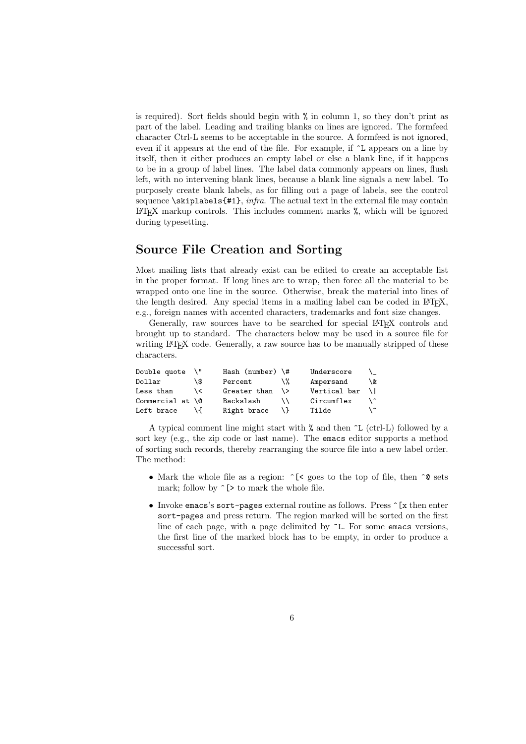is required). Sort fields should begin with % in column 1, so they don't print as part of the label. Leading and trailing blanks on lines are ignored. The formfeed character Ctrl-L seems to be acceptable in the source. A formfeed is not ignored, even if it appears at the end of the file. For example, if ^L appears on a line by itself, then it either produces an empty label or else a blank line, if it happens to be in a group of label lines. The label data commonly appears on lines, flush left, with no intervening blank lines, because a blank line signals a new label. To purposely create blank labels, as for filling out a page of labels, see the control sequence  $\lambda$ skiplabels{#1}, *infra*. The actual text in the external file may contain LATEX markup controls. This includes comment marks  $\chi$ , which will be ignored during typesetting.

# Source File Creation and Sorting

Most mailing lists that already exist can be edited to create an acceptable list in the proper format. If long lines are to wrap, then force all the material to be wrapped onto one line in the source. Otherwise, break the material into lines of the length desired. Any special items in a mailing label can be coded in  $\mathbb{F}T_F X$ , e.g., foreign names with accented characters, trademarks and font size changes.

Generally, raw sources have to be searched for special LAT<sub>EX</sub> controls and brought up to standard. The characters below may be used in a source file for writing L<sup>AT</sup>EX code. Generally, a raw source has to be manually stripped of these characters.

| Double quote             |     | Hash (number) $\forall$ # |        | Underscore   | ∖    |
|--------------------------|-----|---------------------------|--------|--------------|------|
| Dollar                   | \\$ | Percent                   | \%     | Ampersand    | \&   |
| Less than                | \ < | Greater than              | $\vee$ | Vertical bar | A.L. |
| Commercial at $\sqrt{a}$ |     | Backslash                 |        | Circumflex   | \ ^  |
| Left brace               |     | Right brace               |        | Tilde        | ╰    |

A typical comment line might start with  $\%$  and then  $\sim$ L (ctrl-L) followed by a sort key (e.g., the zip code or last name). The emacs editor supports a method of sorting such records, thereby rearranging the source file into a new label order. The method:

- Mark the whole file as a region:  $\hat{\ }$ [< goes to the top of file, then  $\hat{\ }$ @ sets mark; follow by  $\hat{\ }$  [> to mark the whole file.
- Invoke emacs's sort-pages external routine as follows. Press  $\hat{z}$  [x then enter sort-pages and press return. The region marked will be sorted on the first line of each page, with a page delimited by  $\hat{}$ L. For some emacs versions, the first line of the marked block has to be empty, in order to produce a successful sort.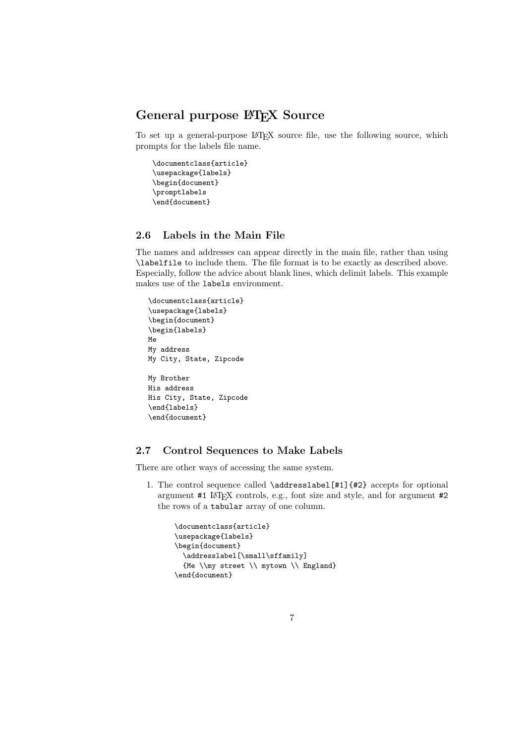# General purpose LAT<sub>E</sub>X Source

To set up a general-purpose LATEX source file, use the following source, which prompts for the labels file name.

```
\documentclass{article}
\usepackage{labels}
\begin{document}
\promptlabels
\end{document}
```
### 2.6 Labels in the Main File

The names and addresses can appear directly in the main file, rather than using \labelfile to include them. The file format is to be exactly as described above. Especially, follow the advice about blank lines, which delimit labels. This example makes use of the labels environment.

```
\documentclass{article}
\usepackage{labels}
\begin{document}
\begin{labels}
Me
My address
My City, State, Zipcode
My Brother
His address
His City, State, Zipcode
\end{labels}
\end{document}
```
# 2.7 Control Sequences to Make Labels

There are other ways of accessing the same system.

1. The control sequence called \addresslabel[#1]{#2} accepts for optional argument #1 LATEX controls, e.g., font size and style, and for argument #2 the rows of a tabular array of one column.

```
\documentclass{article}
\usepackage{labels}
\begin{document}
 \addresslabel[\small\sffamily]
 {Me \\my street \\ mytown \\ England}
\end{document}
```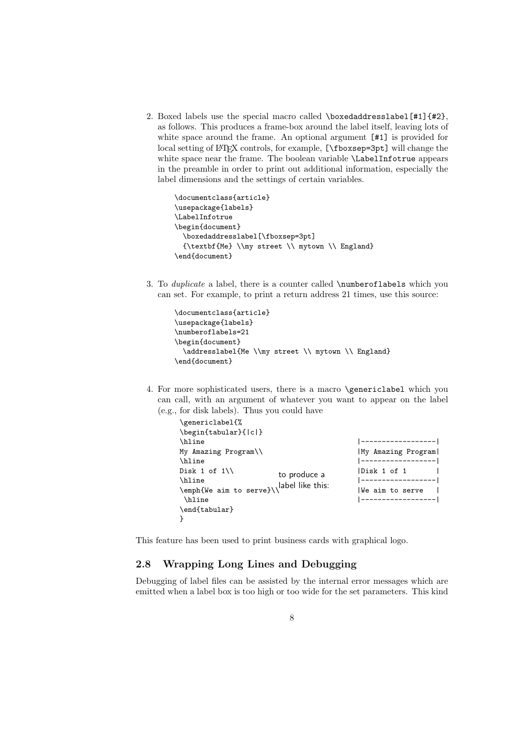2. Boxed labels use the special macro called \boxedaddresslabel  $[#1]{#2}$ , as follows. This produces a frame-box around the label itself, leaving lots of white space around the frame. An optional argument  $[#1]$  is provided for local setting of LAT<sub>E</sub>X controls, for example, [\fboxsep=3pt] will change the white space near the frame. The boolean variable \LabelInfotrue appears in the preamble in order to print out additional information, especially the label dimensions and the settings of certain variables.

```
\documentclass{article}
\usepackage{labels}
\LabelInfotrue
\begin{document}
  \boxedaddresslabel[\fboxsep=3pt]
  {\textbf{Me} \\my street \\ mytown \\ England}
\end{document}
```
3. To duplicate a label, there is a counter called \numberoflabels which you can set. For example, to print a return address 21 times, use this source:

```
\documentclass{article}
\usepackage{labels}
\numberoflabels=21
\begin{document}
 \addresslabel{Me \\my street \\ mytown \\ England}
\end{document}
```
4. For more sophisticated users, there is a macro \genericlabel which you can call, with an argument of whatever you want to appear on the label (e.g., for disk labels). Thus you could have

| \genericlabel{%                           |                    |
|-------------------------------------------|--------------------|
| \begin{tabular}{ c }                      |                    |
| \hline                                    |                    |
| My Amazing Program\\                      | My Amazing Program |
| \hline                                    | -----------------  |
| Disk 1 of $1\lambda$<br>to produce a      | Disk 1 of 1        |
| \hline                                    | ------------------ |
| \emph{We aim to serve}\\\ abel like this: | lWe aim to serve   |
| \hline                                    | ------------------ |
| \end{tabular}                             |                    |
|                                           |                    |

This feature has been used to print business cards with graphical logo.

## 2.8 Wrapping Long Lines and Debugging

Debugging of label files can be assisted by the internal error messages which are emitted when a label box is too high or too wide for the set parameters. This kind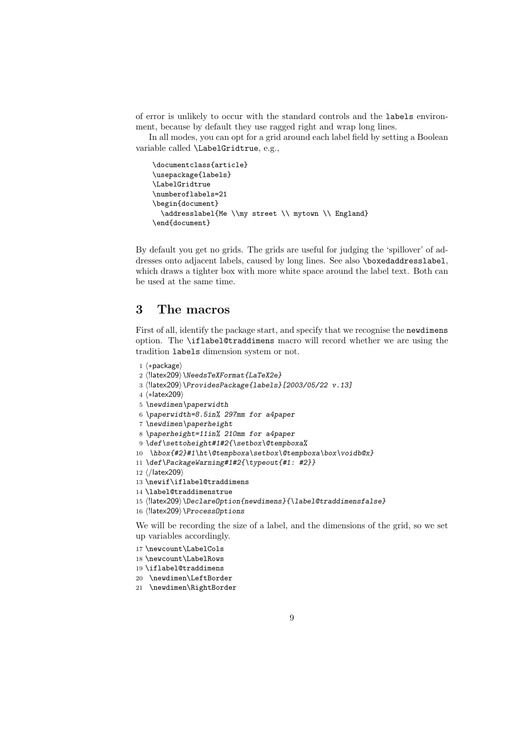of error is unlikely to occur with the standard controls and the labels environment, because by default they use ragged right and wrap long lines.

In all modes, you can opt for a grid around each label field by setting a Boolean variable called \LabelGridtrue, e.g.,

```
\documentclass{article}
\usepackage{labels}
\LabelGridtrue
\numberoflabels=21
\begin{document}
  \addresslabel{Me \\my street \\ mytown \\ England}
\end{document}
```
By default you get no grids. The grids are useful for judging the 'spillover' of addresses onto adjacent labels, caused by long lines. See also \boxedaddresslabel, which draws a tighter box with more white space around the label text. Both can be used at the same time.

# 3 The macros

First of all, identify the package start, and specify that we recognise the newdimens option. The \iflabel@traddimens macro will record whether we are using the tradition labels dimension system or not.

```
1 (*package)
2 (!latex209) \NeedsTeXFormat{LaTeX2e}
3 \langle !| \text{atex209} \rangle \ProvidesPackage{labels}[2003/05/22 v.13]
4 (*latex209)
5 \newdimen\paperwidth
6 \paperwidth=8.5in% 297mm for a4paper
7 \newdimen\paperheight
8 \paperheight=11in% 210mm for a4paper
9 \def\settoheight#1#2{\setbox\@tempboxa%
10 \hbox{#2}#1\ht\@tempboxa\setbox\@tempboxa\box\voidb@x}
11 \def\PackageWarning#1#2{\typeout{#1: #2}}
12 \langle/latex209\rangle13 \newif\iflabel@traddimens
14 \label@traddimenstrue
15 \!latex209\\DeclareOption{newdimens}{\label@traddimensfalse}
16 (!latex209) \ProcessOptions
We will be recording the size of a label, and the dimensions of the grid, so we set
up variables accordingly.
```
17 \newcount\LabelCols

18 \newcount\LabelRows

19 \iflabel@traddimens

- 20 \newdimen\LeftBorder
- 21 \newdimen\RightBorder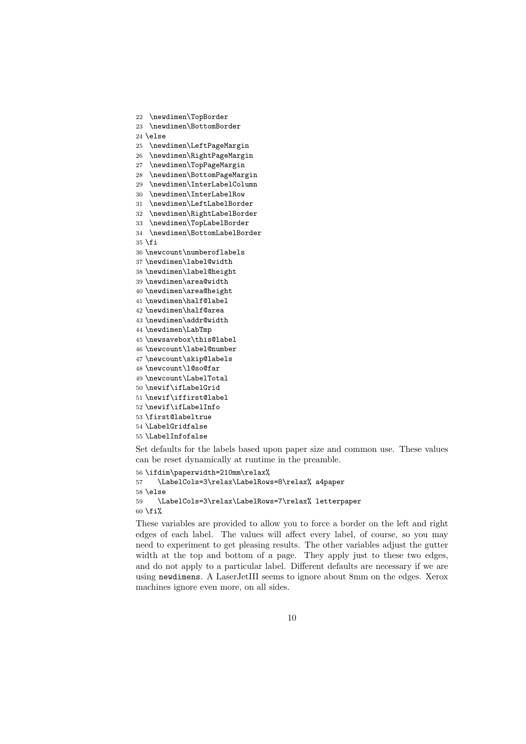```
22 \newdimen\TopBorder
```

```
23 \newdimen\BottomBorder
```
\else

- \newdimen\LeftPageMargin
- \newdimen\RightPageMargin
- \newdimen\TopPageMargin
- \newdimen\BottomPageMargin
- \newdimen\InterLabelColumn
- \newdimen\InterLabelRow
- \newdimen\LeftLabelBorder
- \newdimen\RightLabelBorder
- \newdimen\TopLabelBorder
- \newdimen\BottomLabelBorder \fi
- \newcount\numberoflabels
- \newdimen\label@width
- \newdimen\label@height
- \newdimen\area@width
- \newdimen\area@height
- \newdimen\half@label
- \newdimen\half@area
- \newdimen\addr@width
- \newdimen\LabTmp
- \newsavebox\this@label
- \newcount\label@number
- \newcount\skip@labels
- \newcount\l@so@far
- \newcount\LabelTotal
- \newif\ifLabelGrid
- \newif\iffirst@label
- \newif\ifLabelInfo
- \first@labeltrue
- \LabelGridfalse
- \LabelInfofalse

Set defaults for the labels based upon paper size and common use. These values can be reset dynamically at runtime in the preamble.

```
56 \ifdim\paperwidth=210mm\relax%
57 \LabelCols=3\relax\LabelRows=8\relax% a4paper
58 \else
59 \LabelCols=3\relax\LabelRows=7\relax% letterpaper
```
60  $\fi$ fi%

These variables are provided to allow you to force a border on the left and right edges of each label. The values will affect every label, of course, so you may need to experiment to get pleasing results. The other variables adjust the gutter width at the top and bottom of a page. They apply just to these two edges, and do not apply to a particular label. Different defaults are necessary if we are using newdimens. A LaserJetIII seems to ignore about 8mm on the edges. Xerox machines ignore even more, on all sides.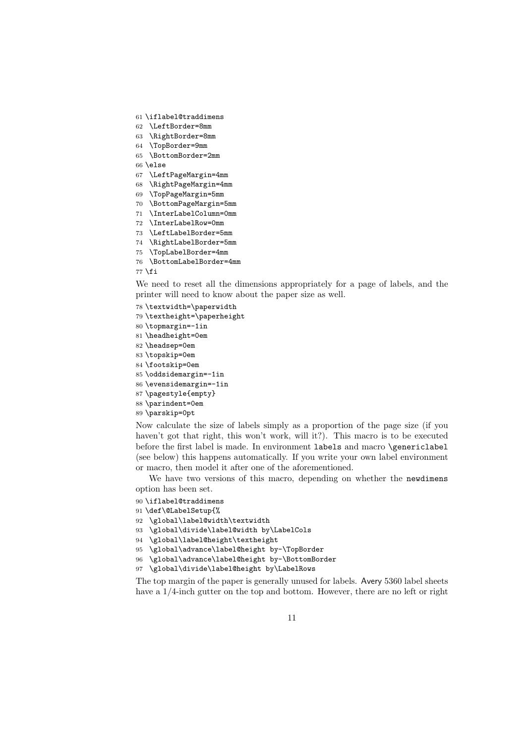- \iflabel@traddimens
- \LeftBorder=8mm
- \RightBorder=8mm
- \TopBorder=9mm
- \BottomBorder=2mm
- \else
- \LeftPageMargin=4mm
- \RightPageMargin=4mm
- \TopPageMargin=5mm
- \BottomPageMargin=5mm
- \InterLabelColumn=0mm
- \InterLabelRow=0mm
- \LeftLabelBorder=5mm
- \RightLabelBorder=5mm
- \TopLabelBorder=4mm
- \BottomLabelBorder=4mm

\fi

We need to reset all the dimensions appropriately for a page of labels, and the printer will need to know about the paper size as well.

\textwidth=\paperwidth

- \textheight=\paperheight
- \topmargin=-1in
- \headheight=0em
- \headsep=0em
- \topskip=0em
- \footskip=0em
- \oddsidemargin=-1in
- \evensidemargin=-1in
- \pagestyle{empty}
- \parindent=0em
- \parskip=0pt

Now calculate the size of labels simply as a proportion of the page size (if you haven't got that right, this won't work, will it?). This macro is to be executed before the first label is made. In environment labels and macro \genericlabel (see below) this happens automatically. If you write your own label environment or macro, then model it after one of the aforementioned.

We have two versions of this macro, depending on whether the newdimens option has been set.

- \iflabel@traddimens
- \def\@LabelSetup{%
- \global\label@width\textwidth
- \global\divide\label@width by\LabelCols
- \global\label@height\textheight
- \global\advance\label@height by-\TopBorder
- \global\advance\label@height by-\BottomBorder

\global\divide\label@height by\LabelRows

The top margin of the paper is generally unused for labels. Avery 5360 label sheets have a 1/4-inch gutter on the top and bottom. However, there are no left or right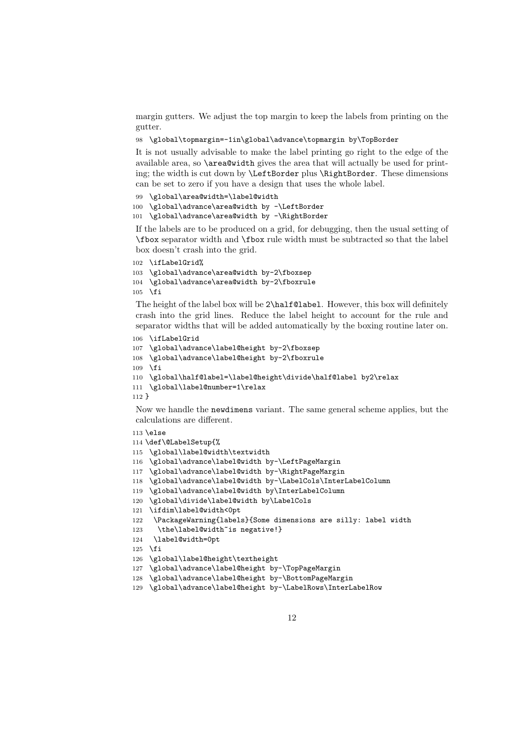margin gutters. We adjust the top margin to keep the labels from printing on the gutter.

\global\topmargin=-1in\global\advance\topmargin by\TopBorder

It is not usually advisable to make the label printing go right to the edge of the available area, so \area@width gives the area that will actually be used for printing; the width is cut down by \LeftBorder plus \RightBorder. These dimensions can be set to zero if you have a design that uses the whole label.

\global\area@width=\label@width

```
100 \global\advance\area@width by -\LeftBorder
```

```
101 \global\advance\area@width by -\RightBorder
```
If the labels are to be produced on a grid, for debugging, then the usual setting of \fbox separator width and \fbox rule width must be subtracted so that the label box doesn't crash into the grid.

```
102 \ifLabelGrid%
103 \global\advance\area@width by-2\fboxsep
104 \global\advance\area@width by-2\fboxrule
105 \fi
```
The height of the label box will be 2\half@label. However, this box will definitely crash into the grid lines. Reduce the label height to account for the rule and separator widths that will be added automatically by the boxing routine later on.

```
106 \ifLabelGrid
```

```
107 \global\advance\label@height by-2\fboxsep
108 \global\advance\label@height by-2\fboxrule
109 \fi
110 \global\half@label=\label@height\divide\half@label by2\relax
111 \global\label@number=1\relax
112 }
```
Now we handle the newdimens variant. The same general scheme applies, but the calculations are different.

```
113 \else
```
- \def\@LabelSetup{%
- \global\label@width\textwidth
- \global\advance\label@width by-\LeftPageMargin
- \global\advance\label@width by-\RightPageMargin
- \global\advance\label@width by-\LabelCols\InterLabelColumn
- \global\advance\label@width by\InterLabelColumn
- \global\divide\label@width by\LabelCols
- \ifdim\label@width<0pt

```
122 \PackageWarning{labels}{Some dimensions are silly: label width
```
- 123 \the\label@width~is negative!}
- \label@width=0pt
- \fi
- \global\label@height\textheight
- \global\advance\label@height by-\TopPageMargin
- \global\advance\label@height by-\BottomPageMargin
- \global\advance\label@height by-\LabelRows\InterLabelRow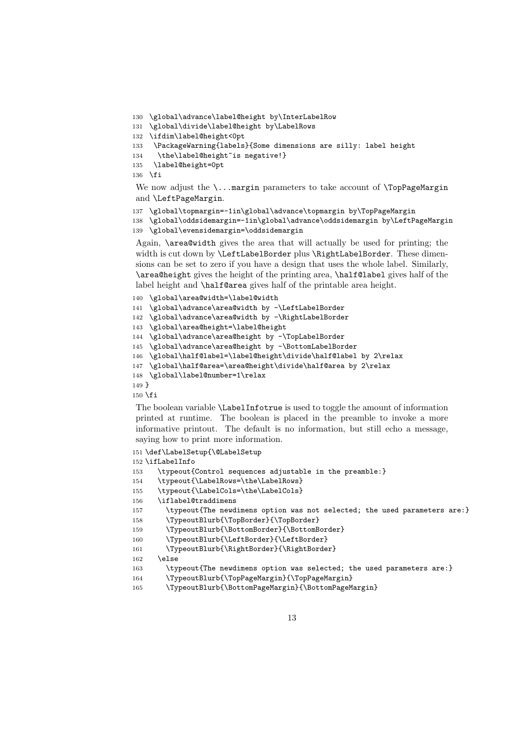```
130 \global\advance\label@height by\InterLabelRow
131 \global\divide\label@height by\LabelRows
132 \ifdim\label@height<0pt
133 \PackageWarning{labels}{Some dimensions are silly: label height
134 \the\label@height~is negative!}
135 \label@height=0pt
136 \fi
```
We now adjust the  $\ldots$  margin parameters to take account of  $\TopPageMargin$ and \LeftPageMargin.

```
137 \global\topmargin=-1in\global\advance\topmargin by\TopPageMargin
```
 \global\oddsidemargin=-1in\global\advance\oddsidemargin by\LeftPageMargin \global\evensidemargin=\oddsidemargin

Again, \area@width gives the area that will actually be used for printing; the width is cut down by **\LeftLabelBorder** plus **\RightLabelBorder**. These dimensions can be set to zero if you have a design that uses the whole label. Similarly, \area@height gives the height of the printing area, \half@label gives half of the label height and \half@area gives half of the printable area height.

```
140 \global\area@width=\label@width
141 \global\advance\area@width by -\LeftLabelBorder
142 \global\advance\area@width by -\RightLabelBorder
143 \global\area@height=\label@height
144 \global\advance\area@height by -\TopLabelBorder
145 \global\advance\area@height by -\BottomLabelBorder
146 \global\half@label=\label@height\divide\half@label by 2\relax
147 \global\half@area=\area@height\divide\half@area by 2\relax
148 \global\label@number=1\relax
149 }
150 \fi
```
The boolean variable \LabelInfotrue is used to toggle the amount of information printed at runtime. The boolean is placed in the preamble to invoke a more informative printout. The default is no information, but still echo a message, saying how to print more information.

```
151 \def\LabelSetup{\@LabelSetup
152 \ifLabelInfo
153 \typeout{Control sequences adjustable in the preamble:}
154 \typeout{\LabelRows=\the\LabelRows}
155 \typeout{\LabelCols=\the\LabelCols}
156 \iflabel@traddimens
157 \typeout{The newdimens option was not selected; the used parameters are:}
158 \TypeoutBlurb{\TopBorder}{\TopBorder}
159 \TypeoutBlurb{\BottomBorder}{\BottomBorder}
160 \TypeoutBlurb{\LeftBorder}{\LeftBorder}
161 \TypeoutBlurb{\RightBorder}{\RightBorder}
162 \angle \text{hs}163 \typeout{The newdimens option was selected; the used parameters are:}
164 \TypeoutBlurb{\TopPageMargin}{\TopPageMargin}
165 \TypeoutBlurb{\BottomPageMargin}{\BottomPageMargin}
```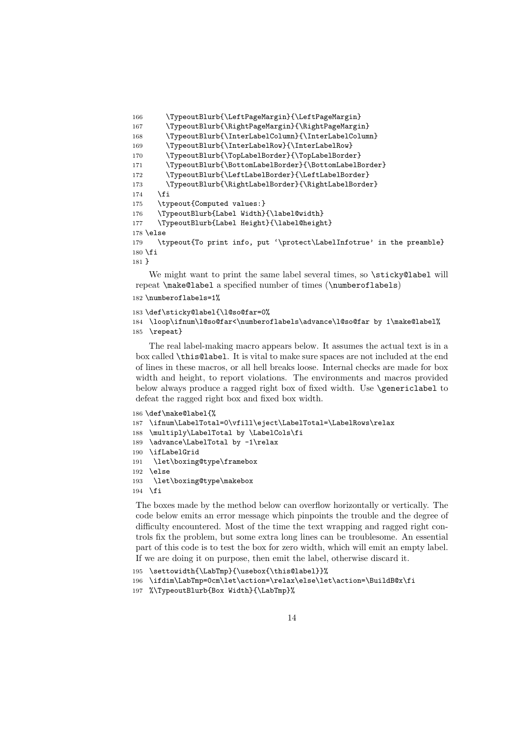```
166 \TypeoutBlurb{\LeftPageMargin}{\LeftPageMargin}
167 \TypeoutBlurb{\RightPageMargin}{\RightPageMargin}
168 \TypeoutBlurb{\InterLabelColumn}{\InterLabelColumn}
169 \TypeoutBlurb{\InterLabelRow}{\InterLabelRow}
170 \TypeoutBlurb{\TopLabelBorder}{\TopLabelBorder}
171 \TypeoutBlurb{\BottomLabelBorder}{\BottomLabelBorder}
172 \TypeoutBlurb{\LeftLabelBorder}{\LeftLabelBorder}
173 \TypeoutBlurb{\RightLabelBorder}{\RightLabelBorder}
174 \fi
175 \typeout{Computed values:}
176 \TypeoutBlurb{Label Width}{\label@width}
177 \TypeoutBlurb{Label Height}{\label@height}
178 \else
179 \typeout{To print info, put '\protect\LabelInfotrue' in the preamble}
180 \fi
181 }
```
We might want to print the same label several times, so \sticky@label will repeat \make@label a specified number of times (\numberoflabels)

```
182 \numberoflabels=1%
```

```
183 \def\sticky@label{\l@so@far=0%
184 \loop\ifnum\l@so@far<\numberoflabels\advance\l@so@far by 1\make@label%
185 \repeat}
```
The real label-making macro appears below. It assumes the actual text is in a box called \this@label. It is vital to make sure spaces are not included at the end of lines in these macros, or all hell breaks loose. Internal checks are made for box width and height, to report violations. The environments and macros provided below always produce a ragged right box of fixed width. Use \genericlabel to defeat the ragged right box and fixed box width.

```
186 \def\make@label{%
187 \ifnum\LabelTotal=0\vfill\eject\LabelTotal=\LabelRows\relax
188 \multiply\LabelTotal by \LabelCols\fi
189 \advance\LabelTotal by -1\relax
190 \ifLabelGrid
191 \let\boxing@type\framebox
192 \else
193 \let\boxing@type\makebox
194 \fi
```
The boxes made by the method below can overflow horizontally or vertically. The code below emits an error message which pinpoints the trouble and the degree of difficulty encountered. Most of the time the text wrapping and ragged right controls fix the problem, but some extra long lines can be troublesome. An essential part of this code is to test the box for zero width, which will emit an empty label. If we are doing it on purpose, then emit the label, otherwise discard it.

```
195 \settowidth{\LabTmp}{\usebox{\this@label}}%
```

```
196 \ifdim\LabTmp=0cm\let\action=\relax\else\let\action=\BuildB@x\fi
```

```
197 %\TypeoutBlurb{Box Width}{\LabTmp}%
```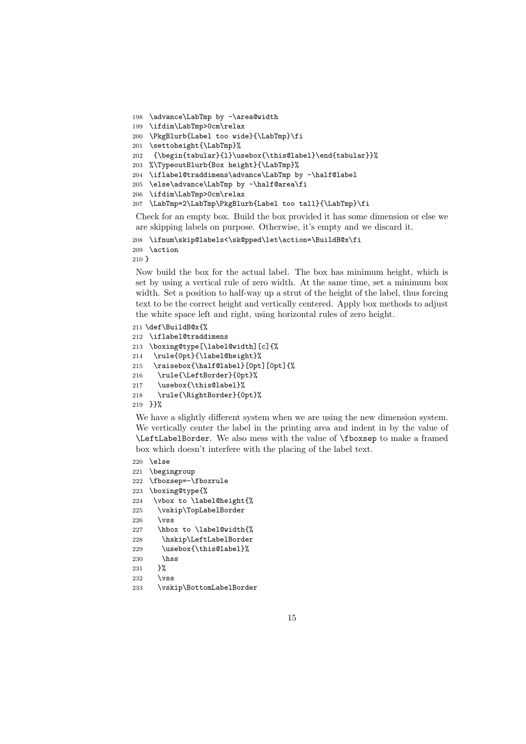```
198 \advance\LabTmp by -\area@width
```

```
199 \ifdim\LabTmp>0cm\relax
```

```
200 \PkgBlurb{Label too wide}{\LabTmp}\fi
```
- \settoheight{\LabTmp}%
- {\begin{tabular}{l}\usebox{\this@label}\end{tabular}}%
- %\TypeoutBlurb{Box height}{\LabTmp}%
- \iflabel@traddimens\advance\LabTmp by -\half@label
- \else\advance\LabTmp by -\half@area\fi
- \ifdim\LabTmp>0cm\relax
- \LabTmp=2\LabTmp\PkgBlurb{Label too tall}{\LabTmp}\fi

Check for an empty box. Build the box provided it has some dimension or else we are skipping labels on purpose. Otherwise, it's empty and we discard it.

```
208 \ifnum\skip@labels<\sk@pped\let\action=\BuildB@x\fi
209 \action
```
}

Now build the box for the actual label. The box has minimum height, which is set by using a vertical rule of zero width. At the same time, set a minimum box width. Set a position to half-way up a strut of the height of the label, thus forcing text to be the correct height and vertically centered. Apply box methods to adjust the white space left and right, using horizontal rules of zero height.

```
211 \def\BuildB@x{%
212 \iflabel@traddimens
213 \boxing@type[\label@width][c]{%
214 \rule{0pt}{\label@height}%
215 \raisebox{\half@label}[0pt][0pt]{%
216 \rule{\LeftBorder}{0pt}%
```

```
217 \usebox{\this@label}%
```

```
218 \rule{\RightBorder}{0pt}%
```
}}%

We have a slightly different system when we are using the new dimension system. We vertically center the label in the printing area and indent in by the value of \LeftLabelBorder. We also mess with the value of \fboxsep to make a framed box which doesn't interfere with the placing of the label text.

```
220 \else
```
- \begingroup
- \fboxsep=-\fboxrule
- \boxing@type{%
- \vbox to \label@height{%
- \vskip\TopLabelBorder
- $226 \text{ VSS}$
- \hbox to \label@width{%
- \hskip\LeftLabelBorder
- 229 \usebox{\this@label}%
- 230 \hss<br>231 \end{bmatrix}
- 
- $232 \text{ V}$
- \vskip\BottomLabelBorder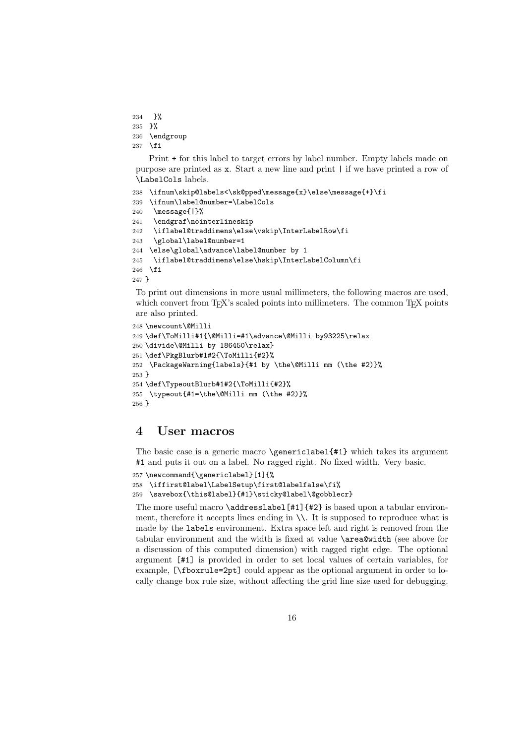234 }%

```
235 }%
```

```
236 \endgroup
```

```
237 \fi
```
Print + for this label to target errors by label number. Empty labels made on purpose are printed as x. Start a new line and print | if we have printed a row of \LabelCols labels.

```
238 \ifnum\skip@labels<\sk@pped\message{x}\else\message{+}\fi
239 \ifnum\label@number=\LabelCols
240 \message{|}%
241 \endgraf\nointerlineskip
242 \iflabel@traddimens\else\vskip\InterLabelRow\fi
243 \global\label@number=1
244 \else\global\advance\label@number by 1
245 \iflabel@traddimens\else\hskip\InterLabelColumn\fi
246 \overline{1}247 }
```
To print out dimensions in more usual millimeters, the following macros are used, which convert from T<sub>E</sub>X's scaled points into millimeters. The common T<sub>E</sub>X points are also printed.

```
248 \newcount\@Milli
249 \def\ToMilli#1{\@Milli=#1\advance\@Milli by93225\relax
250 \divide\@Milli by 186450\relax}
251 \def\PkgBlurb#1#2{\ToMilli{#2}%
252 \PackageWarning{labels}{#1 by \the\@Milli mm (\the #2)}%
253 }
254 \def\TypeoutBlurb#1#2{\ToMilli{#2}%
255 \typeout{#1=\the\@Milli mm (\the #2)}%
256 }
```
# 4 User macros

The basic case is a generic macro \genericlabel{#1} which takes its argument #1 and puts it out on a label. No ragged right. No fixed width. Very basic.

```
257 \newcommand{\genericlabel}[1]{%
258 \iffirst@label\LabelSetup\first@labelfalse\fi%
259 \savebox{\this@label}{#1}\sticky@label\@gobblecr}
```
The more useful macro  $\addresslabel[#1]{#2}$  is based upon a tabular environment, therefore it accepts lines ending in  $\setminus\setminus$ . It is supposed to reproduce what is made by the labels environment. Extra space left and right is removed from the tabular environment and the width is fixed at value \area@width (see above for a discussion of this computed dimension) with ragged right edge. The optional argument [#1] is provided in order to set local values of certain variables, for example, [\fboxrule=2pt] could appear as the optional argument in order to locally change box rule size, without affecting the grid line size used for debugging.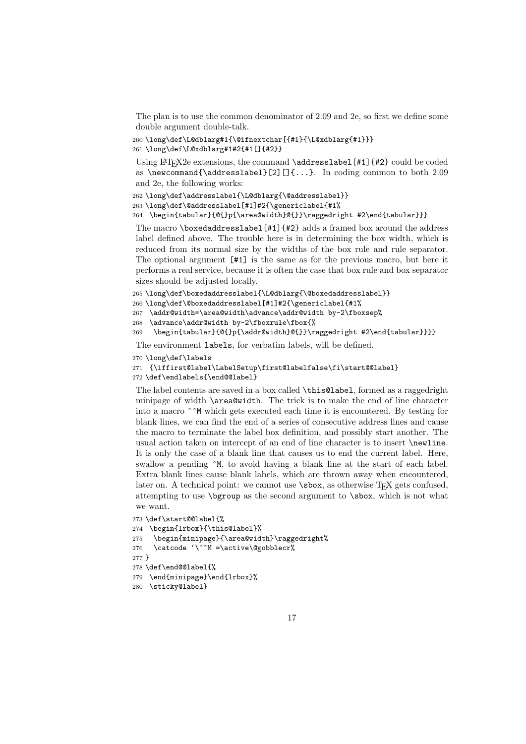The plan is to use the common denominator of 2.09 and 2e, so first we define some double argument double-talk.

```
260 \long\def\L@dblarg#1{\@ifnextchar[{#1}{\L@xdblarg{#1}}}
261 \long\def\L@xdblarg#1#2{#1[]{#2}}
```
Using LATEX2e extensions, the command  $\delta$  addresslabel [#1] {#2} could be coded as \newcommand{\addresslabel}[2][]{...}. In coding common to both 2.09 and 2e, the following works:

```
262\long\def\addresslabel{\L@dblarg{\@addresslabel}}
```

```
263 \long\def\@addresslabel[#1]#2{\genericlabel{#1%
```
264 \begin{tabular}{@{}p{\area@width}@{}}\raggedright #2\end{tabular}}}

The macro \boxedaddresslabel $[#1]{#2}$  adds a framed box around the address label defined above. The trouble here is in determining the box width, which is reduced from its normal size by the widths of the box rule and rule separator. The optional argument [#1] is the same as for the previous macro, but here it performs a real service, because it is often the case that box rule and box separator sizes should be adjusted locally.

```
265 \long\def\boxedaddresslabel{\L@dblarg{\@boxedaddresslabel}}
```

```
266 \long\def\@boxedaddresslabel[#1]#2{\genericlabel{#1%
```

```
267 \addr@width=\area@width\advance\addr@width by-2\fboxsep%
```

```
268 \advance\addr@width by-2\fboxrule\fbox{%
```
269 \begin{tabular}{@{}p{\addr@width}@{}}\raggedright #2\end{tabular}}}}

The environment labels, for verbatim labels, will be defined.

```
270 \long\def\labels
```

```
271 {\iffirst@label\LabelSetup\first@labelfalse\fi\start@@label}
272 \def\endlabels{\end@@label}
```
The label contents are saved in a box called \this@label, formed as a raggedright minipage of width \area@width. The trick is to make the end of line character into a macro ^^M which gets executed each time it is encountered. By testing for blank lines, we can find the end of a series of consecutive address lines and cause the macro to terminate the label box definition, and possibly start another. The usual action taken on intercept of an end of line character is to insert \newline. It is only the case of a blank line that causes us to end the current label. Here, swallow a pending  $\gamma$ , to avoid having a blank line at the start of each label. Extra blank lines cause blank labels, which are thrown away when encountered, later on. A technical point: we cannot use  $\s$ box, as otherwise T<sub>E</sub>X gets confused, attempting to use \bgroup as the second argument to \sbox, which is not what we want.

```
273 \def\start@@label{%
274 \begin{lrbox}{\this@label}%
275 \begin{minipage}{\area@width}\raggedright%
276 \catcode '\^^M =\active\@gobblecr%
277 }
278 \def\end@@label{%
279 \end{minipage}\end{lrbox}%
280 \sticky@label}
```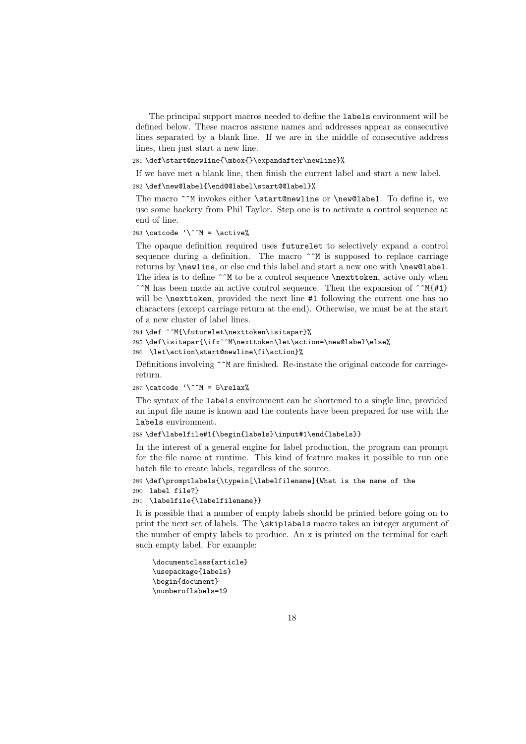The principal support macros needed to define the labels environment will be defined below. These macros assume names and addresses appear as consecutive lines separated by a blank line. If we are in the middle of consecutive address lines, then just start a new line.

281 \def\start@newline{\mbox{}\expandafter\newline}%

If we have met a blank line, then finish the current label and start a new label.

282 \def\new@label{\end@@label\start@@label}%

The macro ^^M invokes either \start@newline or \new@label. To define it, we use some hackery from Phil Taylor. Step one is to activate a control sequence at end of line.

### 283 \catcode '\^^M = \active%

The opaque definition required uses futurelet to selectively expand a control sequence during a definition. The macro  $\hat{\ }^{\ast}$ M is supposed to replace carriage returns by \newline, or else end this label and start a new one with \new@label. The idea is to define  $\hat{\ }$  M to be a control sequence \nexttoken, active only when

^^M has been made an active control sequence. Then the expansion of ^^M{#1} will be **\nexttoken**, provided the next line #1 following the current one has no characters (except carriage return at the end). Otherwise, we must be at the start of a new cluster of label lines.

```
284 \def ^^M{\futurelet\nexttoken\isitapar}%
285 \def\isitapar{\ifx^^M\nexttoken\let\action=\new@label\else%
286 \let\action\start@newline\fi\action}%
```
Definitions involving  $\hat{\ }$ <sup>M</sup> are finished. Re-instate the original catcode for carriagereturn.

```
287 \catcode '\^^M = 5\relax%
```
The syntax of the labels environment can be shortened to a single line, provided an input file name is known and the contents have been prepared for use with the labels environment.

### 288 \def\labelfile#1{\begin{labels}\input#1\end{labels}}

In the interest of a general engine for label production, the program can prompt for the file name at runtime. This kind of feature makes it possible to run one batch file to create labels, regardless of the source.

```
289 \def\promptlabels{\typein[\labelfilename]{What is the name of the
290 label file?}
```
### 291 \labelfile{\labelfilename}}

It is possible that a number of empty labels should be printed before going on to print the next set of labels. The \skiplabels macro takes an integer argument of the number of empty labels to produce. An x is printed on the terminal for each such empty label. For example:

```
\documentclass{article}
\usepackage{labels}
\begin{document}
\numberoflabels=19
```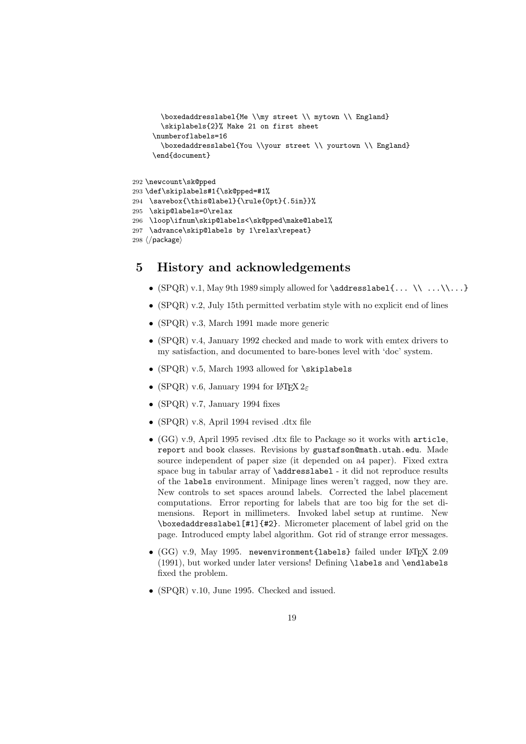```
\boxedaddresslabel{Me \\my street \\ mytown \\ England}
       \skiplabels{2}% Make 21 on first sheet
     \numberoflabels=16
       \boxedaddresslabel{You \\your street \\ yourtown \\ England}
     \end{document}
292 \newcount\sk@pped
293 \def\skiplabels#1{\sk@pped=#1%
294 \savebox{\this@label}{\rule{0pt}{.5in}}%
295 \skip@labels=0\relax
296 \loop\ifnum\skip@labels<\sk@pped\make@label%
297 \advance\skip@labels by 1\relax\repeat}
```

```
298 \langle/package\rangle
```
# 5 History and acknowledgements

- (SPQR) v.1, May 9th 1989 simply allowed for  $\addresslabel{$ ...  $\(\ .\ )\$  ... $\(\ .\ )$
- (SPQR) v.2, July 15th permitted verbatim style with no explicit end of lines
- (SPQR) v.3, March 1991 made more generic
- (SPQR) v.4, January 1992 checked and made to work with emtex drivers to my satisfaction, and documented to bare-bones level with 'doc' system.
- (SPQR) v.5, March 1993 allowed for \skiplabels
- (SPQR) v.6, January 1994 for  $\mathbb{F}$ FRX  $2\varepsilon$
- (SPQR) v.7, January 1994 fixes
- (SPQR) v.8, April 1994 revised .dtx file
- (GG) v.9, April 1995 revised .dtx file to Package so it works with article, report and book classes. Revisions by gustafson@math.utah.edu. Made source independent of paper size (it depended on a4 paper). Fixed extra space bug in tabular array of **\addresslabel** - it did not reproduce results of the labels environment. Minipage lines weren't ragged, now they are. New controls to set spaces around labels. Corrected the label placement computations. Error reporting for labels that are too big for the set dimensions. Report in millimeters. Invoked label setup at runtime. New \boxedaddresslabel[#1]{#2}. Micrometer placement of label grid on the page. Introduced empty label algorithm. Got rid of strange error messages.
- (GG) v.9, May 1995. newenvironment{labels} failed under LATEX 2.09 (1991), but worked under later versions! Defining \labels and \endlabels fixed the problem.
- (SPQR) v.10, June 1995. Checked and issued.